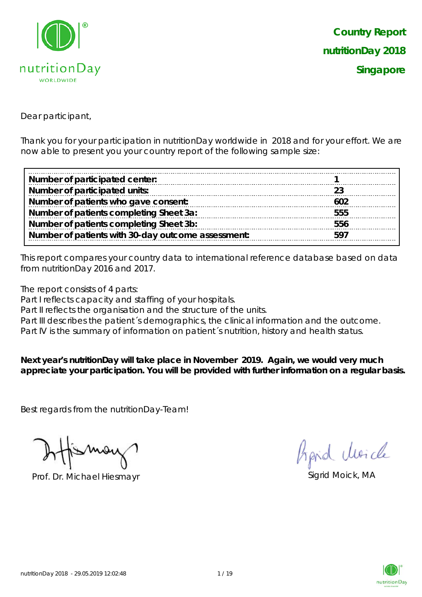

Dear participant,

Thank you for your participation in nutritionDay worldwide in 2018 and for your effort. We are now able to present you your country report of the following sample size:

| Number of participated center:                     |     |
|----------------------------------------------------|-----|
| Number of participated units:                      |     |
| Number of patients who gave consent:               | 602 |
| Number of patients completing Sheet 3a:            | 555 |
| Number of patients completing Sheet 3b:            | 556 |
| Number of patients with 30-day outcome assessment: | 597 |

This report compares your country data to international reference database based on data from nutritionDay 2016 and 2017.

The report consists of 4 parts:

Part I reflects capacity and staffing of your hospitals.

Part II reflects the organisation and the structure of the units.

Part III describes the patient's demographics, the clinical information and the outcome.

Part IV is the summary of information on patient's nutrition, history and health status.

**Next year's nutritionDay will take place in November 2019. Again, we would very much appreciate your participation. You will be provided with further information on a regular basis.**

Best regards from the nutritionDay-Team!

Prof. Dr. Michael Hiesmayr Sigrid Moick, MA

hard Moich

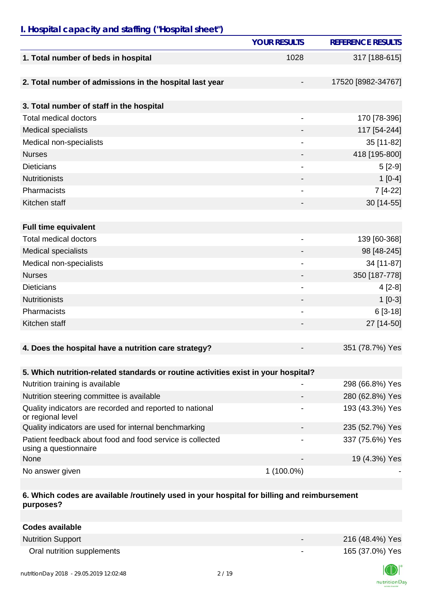# *I. Hospital capacity and staffing ("Hospital sheet")*

|                                                                                    | <b>YOUR RESULTS</b>          | <b>REFERENCE RESULTS</b> |
|------------------------------------------------------------------------------------|------------------------------|--------------------------|
| 1. Total number of beds in hospital                                                | 1028                         | 317 [188-615]            |
|                                                                                    |                              |                          |
| 2. Total number of admissions in the hospital last year                            |                              | 17520 [8982-34767]       |
| 3. Total number of staff in the hospital                                           |                              |                          |
| <b>Total medical doctors</b>                                                       | $\overline{\phantom{a}}$     | 170 [78-396]             |
| Medical specialists                                                                |                              | 117 [54-244]             |
| Medical non-specialists                                                            |                              | 35 [11-82]               |
| <b>Nurses</b>                                                                      | $\overline{\phantom{a}}$     | 418 [195-800]            |
| <b>Dieticians</b>                                                                  |                              | $5[2-9]$                 |
| <b>Nutritionists</b>                                                               |                              | $1[0-4]$                 |
| Pharmacists                                                                        |                              | 7 [4-22]                 |
| Kitchen staff                                                                      |                              | 30 [14-55]               |
|                                                                                    |                              |                          |
| <b>Full time equivalent</b>                                                        |                              |                          |
| <b>Total medical doctors</b>                                                       | $\qquad \qquad \blacksquare$ | 139 [60-368]             |
| <b>Medical specialists</b>                                                         |                              | 98 [48-245]              |
| Medical non-specialists                                                            |                              | 34 [11-87]               |
| <b>Nurses</b>                                                                      |                              | 350 [187-778]            |
| <b>Dieticians</b>                                                                  | $\overline{\phantom{a}}$     | $4[2-8]$                 |
| <b>Nutritionists</b>                                                               |                              | $1[0-3]$                 |
| Pharmacists                                                                        |                              | $6[3-18]$                |
| Kitchen staff                                                                      |                              | 27 [14-50]               |
|                                                                                    |                              |                          |
| 4. Does the hospital have a nutrition care strategy?                               |                              | 351 (78.7%) Yes          |
|                                                                                    |                              |                          |
| 5. Which nutrition-related standards or routine activities exist in your hospital? |                              |                          |
| Nutrition training is available                                                    |                              | 298 (66.8%) Yes          |
| Nutrition steering committee is available                                          |                              | 280 (62.8%) Yes          |
| Quality indicators are recorded and reported to national<br>or regional level      |                              | 193 (43.3%) Yes          |
| Quality indicators are used for internal benchmarking                              |                              | 235 (52.7%) Yes          |
| Patient feedback about food and food service is collected<br>using a questionnaire |                              | 337 (75.6%) Yes          |
| None                                                                               |                              | 19 (4.3%) Yes            |
| No answer given                                                                    | 1 (100.0%)                   |                          |

### **6. Which codes are available /routinely used in your hospital for billing and reimbursement purposes?**

| <b>Codes available</b>     |                          |                 |
|----------------------------|--------------------------|-----------------|
| <b>Nutrition Support</b>   | $\overline{\phantom{0}}$ | 216 (48.4%) Yes |
| Oral nutrition supplements |                          | 165 (37.0%) Yes |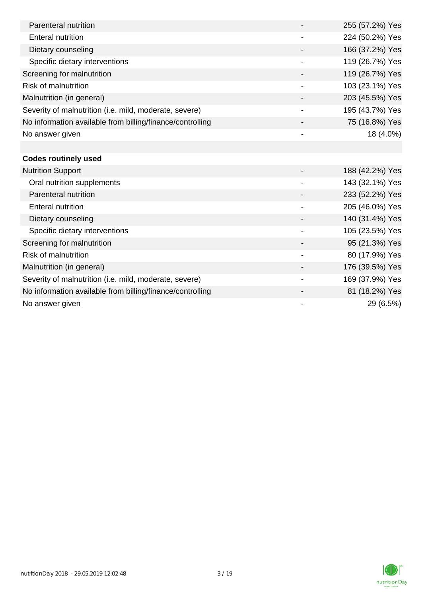| Parenteral nutrition                                      |                          | 255 (57.2%) Yes |
|-----------------------------------------------------------|--------------------------|-----------------|
| Enteral nutrition                                         |                          | 224 (50.2%) Yes |
| Dietary counseling                                        |                          | 166 (37.2%) Yes |
| Specific dietary interventions                            | $\overline{\phantom{a}}$ | 119 (26.7%) Yes |
| Screening for malnutrition                                |                          | 119 (26.7%) Yes |
| <b>Risk of malnutrition</b>                               |                          | 103 (23.1%) Yes |
| Malnutrition (in general)                                 |                          | 203 (45.5%) Yes |
| Severity of malnutrition (i.e. mild, moderate, severe)    |                          | 195 (43.7%) Yes |
| No information available from billing/finance/controlling |                          | 75 (16.8%) Yes  |
| No answer given                                           | $\overline{\phantom{a}}$ | 18 (4.0%)       |
|                                                           |                          |                 |
| <b>Codes routinely used</b>                               |                          |                 |
| <b>Nutrition Support</b>                                  |                          | 188 (42.2%) Yes |
| Oral nutrition supplements                                |                          | 143 (32.1%) Yes |
| Parenteral nutrition                                      |                          | 233 (52.2%) Yes |
| <b>Enteral nutrition</b>                                  |                          | 205 (46.0%) Yes |

Dietary counseling  $140 (31.4%)$  Yes Specific dietary interventions 105 (23.5%) Yes Screening for malnutrition 80 and 100 and 100 and 100 and 100 and 100 and 100 and 100 and 100 and 100 and 100 and 100 and 100 and 100 and 100 and 100 and 100 and 100 and 100 and 100 and 100 and 100 and 100 and 100 and 100 Risk of malnutrition and the set of malnutrition of the set of the set of the set of the set of the set of the set of the set of the set of the set of the set of the set of the set of the set of the set of the set of the s Malnutrition (in general) 176 (39.5%) Yes Severity of malnutrition (i.e. mild, moderate, severe) 169 (37.9%) Yes No information available from billing/finance/controlling and and the state of the 81 (18.2%) Yes No answer given  $29(6.5%)$ 

nutritionDay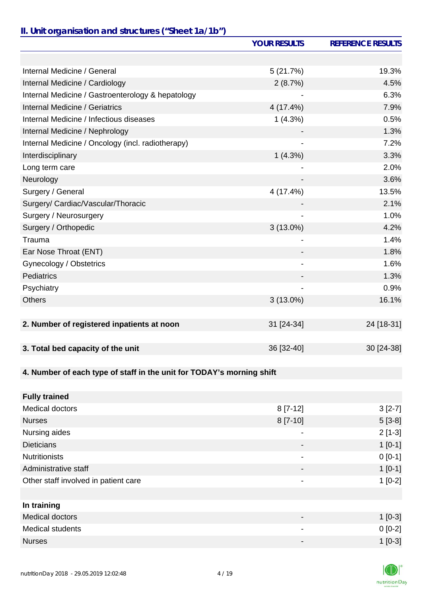#### *II. Unit organisation and structures ("Sheet 1a/1b")*

|                                                                       | <b>YOUR RESULTS</b>      | <b>REFERENCE RESULTS</b> |
|-----------------------------------------------------------------------|--------------------------|--------------------------|
|                                                                       |                          |                          |
| Internal Medicine / General                                           | 5(21.7%)                 | 19.3%                    |
| Internal Medicine / Cardiology                                        | 2(8.7%)                  | 4.5%                     |
| Internal Medicine / Gastroenterology & hepatology                     |                          | 6.3%                     |
| <b>Internal Medicine / Geriatrics</b>                                 | 4 (17.4%)                | 7.9%                     |
| Internal Medicine / Infectious diseases                               | 1(4.3%)                  | 0.5%                     |
| Internal Medicine / Nephrology                                        |                          | 1.3%                     |
| Internal Medicine / Oncology (incl. radiotherapy)                     |                          | 7.2%                     |
| Interdisciplinary                                                     | 1(4.3%)                  | 3.3%                     |
| Long term care                                                        |                          | 2.0%                     |
| Neurology                                                             |                          | 3.6%                     |
| Surgery / General                                                     | 4 (17.4%)                | 13.5%                    |
| Surgery/ Cardiac/Vascular/Thoracic                                    |                          | 2.1%                     |
| Surgery / Neurosurgery                                                | $\overline{\phantom{a}}$ | 1.0%                     |
| Surgery / Orthopedic                                                  | $3(13.0\%)$              | 4.2%                     |
| Trauma                                                                |                          | 1.4%                     |
| Ear Nose Throat (ENT)                                                 |                          | 1.8%                     |
| Gynecology / Obstetrics                                               |                          | 1.6%                     |
| Pediatrics                                                            |                          | 1.3%                     |
| Psychiatry                                                            |                          | 0.9%                     |
| <b>Others</b>                                                         | $3(13.0\%)$              | 16.1%                    |
|                                                                       |                          |                          |
| 2. Number of registered inpatients at noon                            | 31 [24-34]               | 24 [18-31]               |
|                                                                       |                          |                          |
| 3. Total bed capacity of the unit                                     | 36 [32-40]               | 30 [24-38]               |
|                                                                       |                          |                          |
| 4. Number of each type of staff in the unit for TODAY's morning shift |                          |                          |
|                                                                       |                          |                          |
| <b>Fully trained</b>                                                  |                          |                          |
| Medical doctors                                                       | $8[7-12]$                | $3[2-7]$                 |
| <b>Nurses</b>                                                         | 8 [7-10]                 | $5[3-8]$                 |
| Nursing aides                                                         | -                        | $2[1-3]$                 |
| <b>Dieticians</b>                                                     |                          | $1[0-1]$                 |
| <b>Nutritionists</b>                                                  |                          | $0[0-1]$                 |
| Administrative staff                                                  |                          | $1[0-1]$                 |

**In training**

Other staff involved in patient care 1 and 2 and 2 and 2 and 2 and 2 and 2 and 2 and 2 and 2 and 2 and 2 and 2 and 2 and 2 and 2 and 2 and 2 and 2 and 2 and 2 and 2 and 2 and 2 and 2 and 2 and 2 and 2 and 2 and 2 and 2 and

Medical doctors 1 [0-3] Medical students 0 [0-2] Nurses  $1$  [0-3]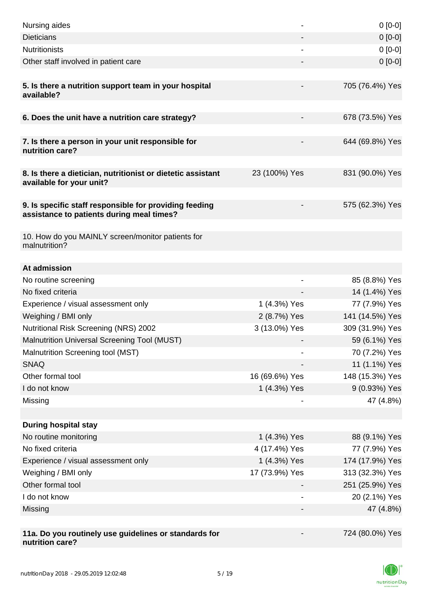| Nursing aides                                                                                       |                | $0[0-0]$        |
|-----------------------------------------------------------------------------------------------------|----------------|-----------------|
| <b>Dieticians</b>                                                                                   |                | $0 [0-0]$       |
| <b>Nutritionists</b>                                                                                |                | $0[0-0]$        |
| Other staff involved in patient care                                                                |                | $0[0-0]$        |
| 5. Is there a nutrition support team in your hospital<br>available?                                 |                | 705 (76.4%) Yes |
| 6. Does the unit have a nutrition care strategy?                                                    |                | 678 (73.5%) Yes |
| 7. Is there a person in your unit responsible for<br>nutrition care?                                |                | 644 (69.8%) Yes |
| 8. Is there a dietician, nutritionist or dietetic assistant<br>available for your unit?             | 23 (100%) Yes  | 831 (90.0%) Yes |
| 9. Is specific staff responsible for providing feeding<br>assistance to patients during meal times? |                | 575 (62.3%) Yes |
| 10. How do you MAINLY screen/monitor patients for<br>malnutrition?                                  |                |                 |
| At admission                                                                                        |                |                 |
| No routine screening                                                                                |                | 85 (8.8%) Yes   |
| No fixed criteria                                                                                   |                | 14 (1.4%) Yes   |
| Experience / visual assessment only                                                                 | 1 (4.3%) Yes   | 77 (7.9%) Yes   |
| Weighing / BMI only                                                                                 | 2 (8.7%) Yes   | 141 (14.5%) Yes |
| <b>Nutritional Risk Screening (NRS) 2002</b>                                                        | 3 (13.0%) Yes  | 309 (31.9%) Yes |
| Malnutrition Universal Screening Tool (MUST)                                                        |                | 59 (6.1%) Yes   |
| Malnutrition Screening tool (MST)                                                                   |                | 70 (7.2%) Yes   |
| <b>SNAQ</b>                                                                                         |                | 11 (1.1%) Yes   |
| Other formal tool                                                                                   | 16 (69.6%) Yes | 148 (15.3%) Yes |
| I do not know                                                                                       | 1 (4.3%) Yes   | 9 (0.93%) Yes   |
| Missing                                                                                             |                | 47 (4.8%)       |
|                                                                                                     |                |                 |
| <b>During hospital stay</b>                                                                         |                |                 |
| No routine monitoring                                                                               | 1 (4.3%) Yes   | 88 (9.1%) Yes   |
| No fixed criteria                                                                                   | 4 (17.4%) Yes  | 77 (7.9%) Yes   |
| Experience / visual assessment only                                                                 | 1 (4.3%) Yes   | 174 (17.9%) Yes |
| Weighing / BMI only                                                                                 | 17 (73.9%) Yes | 313 (32.3%) Yes |
| Other formal tool                                                                                   |                | 251 (25.9%) Yes |
| I do not know                                                                                       |                | 20 (2.1%) Yes   |
| Missing                                                                                             |                | 47 (4.8%)       |
|                                                                                                     |                |                 |
| 11a. Do you routinely use guidelines or standards for<br>nutrition care?                            |                | 724 (80.0%) Yes |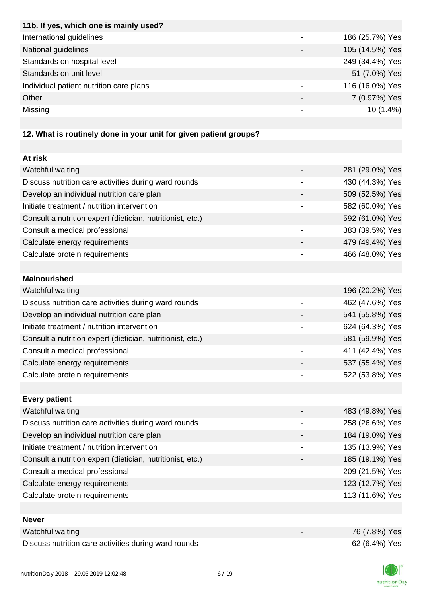| 11b. If yes, which one is mainly used?                           |                 |
|------------------------------------------------------------------|-----------------|
| International guidelines                                         | 186 (25.7%) Yes |
| National guidelines                                              | 105 (14.5%) Yes |
| Standards on hospital level                                      | 249 (34.4%) Yes |
| Standards on unit level                                          | 51 (7.0%) Yes   |
| Individual patient nutrition care plans                          | 116 (16.0%) Yes |
| Other                                                            | 7 (0.97%) Yes   |
| Missing                                                          | $10(1.4\%)$     |
|                                                                  |                 |
| 12 What is routinaly dang in your unit for given patient groups? |                 |

#### **12. What is routinely done in your unit for given patient groups?**

| At risk                                                    |                 |
|------------------------------------------------------------|-----------------|
| Watchful waiting                                           | 281 (29.0%) Yes |
| Discuss nutrition care activities during ward rounds       | 430 (44.3%) Yes |
| Develop an individual nutrition care plan                  | 509 (52.5%) Yes |
| Initiate treatment / nutrition intervention                | 582 (60.0%) Yes |
| Consult a nutrition expert (dietician, nutritionist, etc.) | 592 (61.0%) Yes |
| Consult a medical professional                             | 383 (39.5%) Yes |
| Calculate energy requirements                              | 479 (49.4%) Yes |
| Calculate protein requirements                             | 466 (48.0%) Yes |
|                                                            |                 |
| <b>Malnourished</b>                                        |                 |
| Watchful waiting                                           | 196 (20.2%) Yes |
| Discuss nutrition care activities during ward rounds       | 462 (47.6%) Yes |
| Develop an individual nutrition care plan                  | 541 (55.8%) Yes |
| Initiate treatment / nutrition intervention                | 624 (64.3%) Yes |
| Consult a nutrition expert (dietician, nutritionist, etc.) | 581 (59.9%) Yes |
| Consult a medical professional                             | 411 (42.4%) Yes |
| Calculate energy requirements                              | 537 (55.4%) Yes |
| Calculate protein requirements                             | 522 (53.8%) Yes |
|                                                            |                 |
| <b>Every patient</b>                                       |                 |
| Watchful waiting                                           | 483 (49.8%) Yes |
| Discuss nutrition care activities during ward rounds       | 258 (26.6%) Yes |
| Develop an individual nutrition care plan                  | 184 (19.0%) Yes |
| Initiate treatment / nutrition intervention                | 135 (13.9%) Yes |
| Consult a nutrition expert (dietician, nutritionist, etc.) | 185 (19.1%) Yes |
| Consult a medical professional                             | 209 (21.5%) Yes |
| Calculate energy requirements                              | 123 (12.7%) Yes |
| Calculate protein requirements                             | 113 (11.6%) Yes |
|                                                            |                 |
| <b>Never</b>                                               |                 |
| Watchful waiting                                           | 76 (7.8%) Yes   |
| Discuss nutrition care activities during ward rounds       | 62 (6.4%) Yes   |

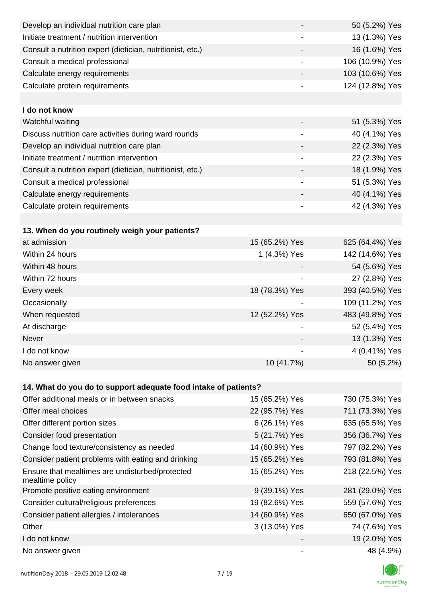| Develop an individual nutrition care plan                          | $\overline{\phantom{a}}$ | 50 (5.2%) Yes   |
|--------------------------------------------------------------------|--------------------------|-----------------|
| Initiate treatment / nutrition intervention                        |                          | 13 (1.3%) Yes   |
| Consult a nutrition expert (dietician, nutritionist, etc.)         |                          | 16 (1.6%) Yes   |
| Consult a medical professional                                     | $\overline{\phantom{a}}$ | 106 (10.9%) Yes |
| Calculate energy requirements                                      | $\overline{\phantom{a}}$ | 103 (10.6%) Yes |
| Calculate protein requirements                                     |                          | 124 (12.8%) Yes |
|                                                                    |                          |                 |
| I do not know                                                      |                          |                 |
| Watchful waiting                                                   |                          | 51 (5.3%) Yes   |
| Discuss nutrition care activities during ward rounds               | $\overline{\phantom{a}}$ | 40 (4.1%) Yes   |
| Develop an individual nutrition care plan                          |                          | 22 (2.3%) Yes   |
| Initiate treatment / nutrition intervention                        | -                        | 22 (2.3%) Yes   |
| Consult a nutrition expert (dietician, nutritionist, etc.)         |                          | 18 (1.9%) Yes   |
| Consult a medical professional                                     | -                        | 51 (5.3%) Yes   |
| Calculate energy requirements                                      |                          | 40 (4.1%) Yes   |
| Calculate protein requirements                                     | $\overline{\phantom{a}}$ | 42 (4.3%) Yes   |
|                                                                    |                          |                 |
| 13. When do you routinely weigh your patients?                     |                          |                 |
| at admission                                                       | 15 (65.2%) Yes           | 625 (64.4%) Yes |
| Within 24 hours                                                    | 1 (4.3%) Yes             | 142 (14.6%) Yes |
| Within 48 hours                                                    |                          | 54 (5.6%) Yes   |
| Within 72 hours                                                    |                          | 27 (2.8%) Yes   |
| Every week                                                         | 18 (78.3%) Yes           | 393 (40.5%) Yes |
| Occasionally                                                       |                          | 109 (11.2%) Yes |
| When requested                                                     | 12 (52.2%) Yes           | 483 (49.8%) Yes |
| At discharge                                                       |                          | 52 (5.4%) Yes   |
| Never                                                              |                          | 13 (1.3%) Yes   |
| I do not know                                                      |                          | 4 (0.41%) Yes   |
| No answer given                                                    | 10 (41.7%)               | 50 (5.2%)       |
|                                                                    |                          |                 |
| 14. What do you do to support adequate food intake of patients?    |                          |                 |
| Offer additional meals or in between snacks                        | 15 (65.2%) Yes           | 730 (75.3%) Yes |
| Offer meal choices                                                 | 22 (95.7%) Yes           | 711 (73.3%) Yes |
| Offer different portion sizes                                      | 6 (26.1%) Yes            | 635 (65.5%) Yes |
| Consider food presentation                                         | 5 (21.7%) Yes            | 356 (36.7%) Yes |
| Change food texture/consistency as needed                          | 14 (60.9%) Yes           | 797 (82.2%) Yes |
| Consider patient problems with eating and drinking                 | 15 (65.2%) Yes           | 793 (81.8%) Yes |
| Ensure that mealtimes are undisturbed/protected<br>mealtime policy | 15 (65.2%) Yes           | 218 (22.5%) Yes |
| Promote positive eating environment                                | 9 (39.1%) Yes            | 281 (29.0%) Yes |
| Consider cultural/religious preferences                            | 19 (82.6%) Yes           | 559 (57.6%) Yes |
| Consider patient allergies / intolerances                          | 14 (60.9%) Yes           | 650 (67.0%) Yes |
| Other                                                              | 3 (13.0%) Yes            | 74 (7.6%) Yes   |
| I do not know                                                      |                          | 19 (2.0%) Yes   |
| No answer given                                                    |                          | 48 (4.9%)       |

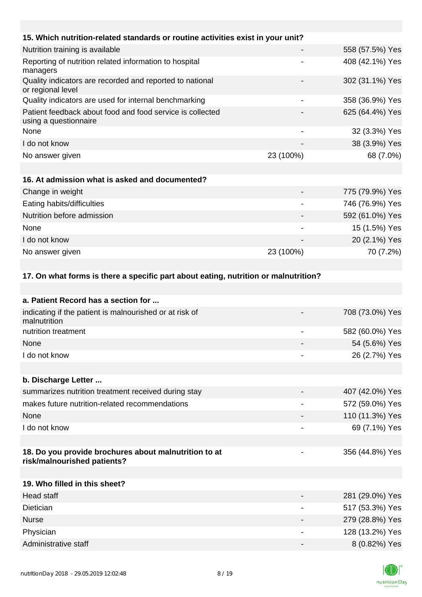| 15. Which nutrition-related standards or routine activities exist in your unit?      |                          |                 |
|--------------------------------------------------------------------------------------|--------------------------|-----------------|
| Nutrition training is available                                                      | $\overline{\phantom{a}}$ | 558 (57.5%) Yes |
| Reporting of nutrition related information to hospital<br>managers                   | -                        | 408 (42.1%) Yes |
| Quality indicators are recorded and reported to national<br>or regional level        |                          | 302 (31.1%) Yes |
| Quality indicators are used for internal benchmarking                                | $\overline{\phantom{a}}$ | 358 (36.9%) Yes |
| Patient feedback about food and food service is collected<br>using a questionnaire   |                          | 625 (64.4%) Yes |
| None                                                                                 |                          | 32 (3.3%) Yes   |
| I do not know                                                                        |                          | 38 (3.9%) Yes   |
| No answer given                                                                      | 23 (100%)                | 68 (7.0%)       |
|                                                                                      |                          |                 |
| 16. At admission what is asked and documented?                                       |                          |                 |
| Change in weight                                                                     |                          | 775 (79.9%) Yes |
| Eating habits/difficulties                                                           |                          | 746 (76.9%) Yes |
| Nutrition before admission                                                           |                          | 592 (61.0%) Yes |
| None                                                                                 | $\overline{\phantom{a}}$ | 15 (1.5%) Yes   |
| I do not know                                                                        |                          | 20 (2.1%) Yes   |
| No answer given                                                                      | 23 (100%)                | 70 (7.2%)       |
|                                                                                      |                          |                 |
| 17. On what forms is there a specific part about eating, nutrition or malnutrition?  |                          |                 |
|                                                                                      |                          |                 |
| a. Patient Record has a section for                                                  |                          |                 |
| indicating if the patient is malnourished or at risk of<br>malnutrition              |                          | 708 (73.0%) Yes |
| nutrition treatment                                                                  |                          | 582 (60.0%) Yes |
| None                                                                                 |                          | 54 (5.6%) Yes   |
| I do not know                                                                        |                          | 26 (2.7%) Yes   |
|                                                                                      |                          |                 |
| b. Discharge Letter                                                                  |                          |                 |
| summarizes nutrition treatment received during stay                                  |                          | 407 (42.0%) Yes |
| makes future nutrition-related recommendations                                       |                          | 572 (59.0%) Yes |
| None                                                                                 |                          | 110 (11.3%) Yes |
| I do not know                                                                        | -                        | 69 (7.1%) Yes   |
|                                                                                      |                          |                 |
| 18. Do you provide brochures about malnutrition to at<br>risk/malnourished patients? |                          | 356 (44.8%) Yes |
|                                                                                      |                          |                 |
| 19. Who filled in this sheet?                                                        |                          |                 |
| <b>Head staff</b>                                                                    |                          | 281 (29.0%) Yes |
| <b>Dietician</b>                                                                     |                          | 517 (53.3%) Yes |
| <b>Nurse</b>                                                                         |                          | 279 (28.8%) Yes |
| Physician                                                                            |                          | 128 (13.2%) Yes |
| Administrative staff                                                                 |                          | 8 (0.82%) Yes   |

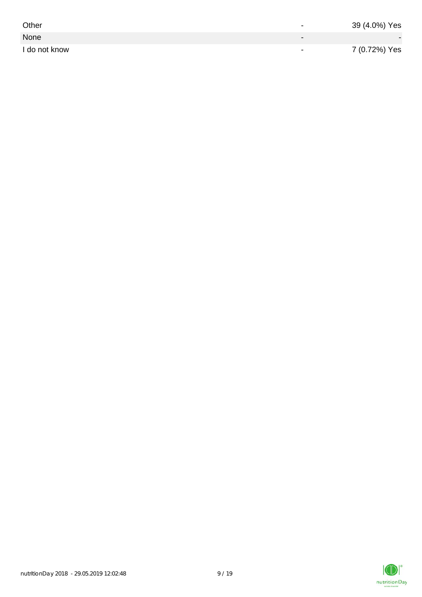| Other         | $\overline{\phantom{0}}$ | 39 (4.0%) Yes |
|---------------|--------------------------|---------------|
| None          |                          |               |
| I do not know | $\,$                     | 7 (0.72%) Yes |

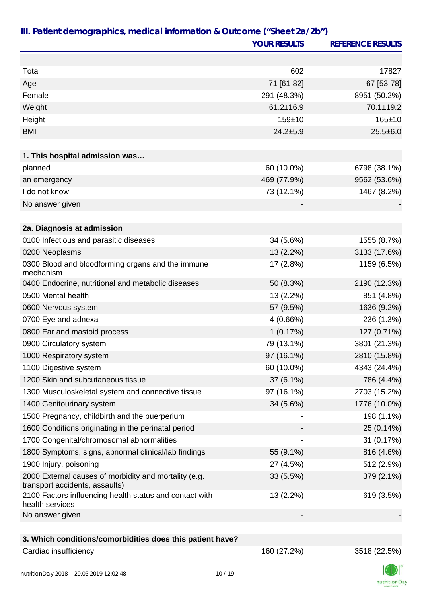|                                                                                         | <b>YOUR RESULTS</b> | <b>REFERENCE RESULTS</b> |
|-----------------------------------------------------------------------------------------|---------------------|--------------------------|
|                                                                                         |                     |                          |
| Total                                                                                   | 602                 | 17827                    |
| Age                                                                                     | 71 [61-82]          | 67 [53-78]               |
| Female                                                                                  | 291 (48.3%)         | 8951 (50.2%)             |
| Weight                                                                                  | $61.2 \pm 16.9$     | $70.1 \pm 19.2$          |
| Height                                                                                  | $159 + 10$          | $165 + 10$               |
| <b>BMI</b>                                                                              | $24.2 + 5.9$        | $25.5 \pm 6.0$           |
| 1. This hospital admission was                                                          |                     |                          |
| planned                                                                                 | 60 (10.0%)          | 6798 (38.1%)             |
| an emergency                                                                            | 469 (77.9%)         | 9562 (53.6%)             |
| I do not know                                                                           | 73 (12.1%)          | 1467 (8.2%)              |
| No answer given                                                                         |                     |                          |
|                                                                                         |                     |                          |
| 2a. Diagnosis at admission                                                              |                     |                          |
| 0100 Infectious and parasitic diseases                                                  | 34 (5.6%)           | 1555 (8.7%)              |
| 0200 Neoplasms                                                                          | 13 (2.2%)           | 3133 (17.6%)             |
| 0300 Blood and bloodforming organs and the immune<br>mechanism                          | 17 (2.8%)           | 1159 (6.5%)              |
| 0400 Endocrine, nutritional and metabolic diseases                                      | 50 (8.3%)           | 2190 (12.3%)             |
| 0500 Mental health                                                                      | 13 (2.2%)           | 851 (4.8%)               |
| 0600 Nervous system                                                                     | 57 (9.5%)           | 1636 (9.2%)              |
| 0700 Eye and adnexa                                                                     | 4 (0.66%)           | 236 (1.3%)               |
| 0800 Ear and mastoid process                                                            | 1(0.17%)            | 127 (0.71%)              |
| 0900 Circulatory system                                                                 | 79 (13.1%)          | 3801 (21.3%)             |
| 1000 Respiratory system                                                                 | 97 (16.1%)          | 2810 (15.8%)             |
| 1100 Digestive system                                                                   | 60 (10.0%)          | 4343 (24.4%)             |
| 1200 Skin and subcutaneous tissue                                                       | $37(6.1\%)$         | 786 (4.4%)               |
| 1300 Musculoskeletal system and connective tissue                                       | 97 (16.1%)          | 2703 (15.2%)             |
| 1400 Genitourinary system                                                               | 34 (5.6%)           | 1776 (10.0%)             |
| 1500 Pregnancy, childbirth and the puerperium                                           |                     | 198 (1.1%)               |
| 1600 Conditions originating in the perinatal period                                     |                     | 25 (0.14%)               |
| 1700 Congenital/chromosomal abnormalities                                               |                     | 31 (0.17%)               |
| 1800 Symptoms, signs, abnormal clinical/lab findings                                    | 55 (9.1%)           | 816 (4.6%)               |
| 1900 Injury, poisoning                                                                  | 27 (4.5%)           | 512 (2.9%)               |
| 2000 External causes of morbidity and mortality (e.g.<br>transport accidents, assaults) | $33(5.5\%)$         | 379 (2.1%)               |
| 2100 Factors influencing health status and contact with<br>health services              | 13 (2.2%)           | 619 (3.5%)               |
| No answer given                                                                         |                     |                          |
| 3. Which conditions/comorbidities does this patient have?                               |                     |                          |
| Cardiac insufficiency                                                                   | 160 (27.2%)         | 3518 (22.5%)             |

![](_page_9_Picture_4.jpeg)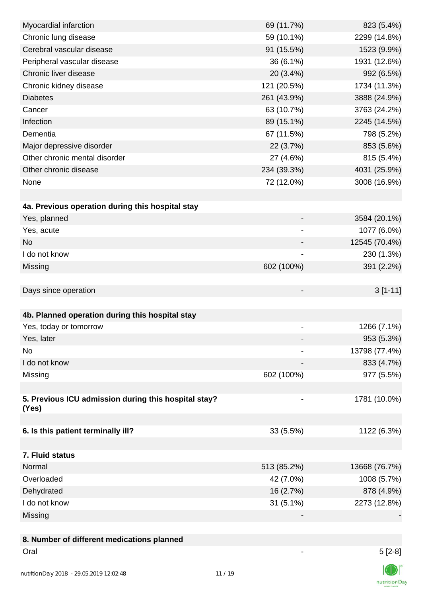| Myocardial infarction                                | 69 (11.7%)               | 823 (5.4%)    |
|------------------------------------------------------|--------------------------|---------------|
| Chronic lung disease                                 | 59 (10.1%)               | 2299 (14.8%)  |
| Cerebral vascular disease                            | 91 (15.5%)               | 1523 (9.9%)   |
| Peripheral vascular disease                          | 36 (6.1%)                | 1931 (12.6%)  |
| Chronic liver disease                                | 20 (3.4%)                | 992 (6.5%)    |
| Chronic kidney disease                               | 121 (20.5%)              | 1734 (11.3%)  |
| <b>Diabetes</b>                                      | 261 (43.9%)              | 3888 (24.9%)  |
| Cancer                                               | 63 (10.7%)               | 3763 (24.2%)  |
| Infection                                            | 89 (15.1%)               | 2245 (14.5%)  |
| Dementia                                             | 67 (11.5%)               | 798 (5.2%)    |
| Major depressive disorder                            | 22 (3.7%)                | 853 (5.6%)    |
| Other chronic mental disorder                        | 27 (4.6%)                | 815 (5.4%)    |
| Other chronic disease                                | 234 (39.3%)              | 4031 (25.9%)  |
| None                                                 | 72 (12.0%)               | 3008 (16.9%)  |
|                                                      |                          |               |
| 4a. Previous operation during this hospital stay     |                          |               |
| Yes, planned                                         |                          | 3584 (20.1%)  |
| Yes, acute                                           | -                        | 1077 (6.0%)   |
| <b>No</b>                                            | $\overline{\phantom{a}}$ | 12545 (70.4%) |
| I do not know                                        |                          | 230 (1.3%)    |
| Missing                                              | 602 (100%)               | 391 (2.2%)    |
|                                                      |                          |               |
| Days since operation                                 |                          | $3[1-11]$     |
|                                                      |                          |               |
| 4b. Planned operation during this hospital stay      |                          |               |
| Yes, today or tomorrow                               |                          | 1266 (7.1%)   |
| Yes, later                                           |                          | 953 (5.3%)    |
| No                                                   |                          | 13798 (77.4%) |
| I do not know                                        |                          | 833 (4.7%)    |
| Missing                                              | 602 (100%)               | 977 (5.5%)    |
|                                                      |                          |               |
| 5. Previous ICU admission during this hospital stay? |                          | 1781 (10.0%)  |
| (Yes)                                                |                          |               |
|                                                      |                          |               |
| 6. Is this patient terminally ill?                   | 33 (5.5%)                | 1122 (6.3%)   |
|                                                      |                          |               |
| 7. Fluid status                                      |                          |               |
| Normal                                               | 513 (85.2%)              | 13668 (76.7%) |
| Overloaded                                           | 42 (7.0%)                | 1008 (5.7%)   |
| Dehydrated                                           | 16 (2.7%)                | 878 (4.9%)    |
| I do not know                                        | $31(5.1\%)$              | 2273 (12.8%)  |
| Missing                                              |                          |               |
|                                                      |                          |               |
| 8. Number of different medications planned           |                          |               |

![](_page_10_Picture_2.jpeg)

 $\vert\mathbb{O}\vert^2$ nutritionDay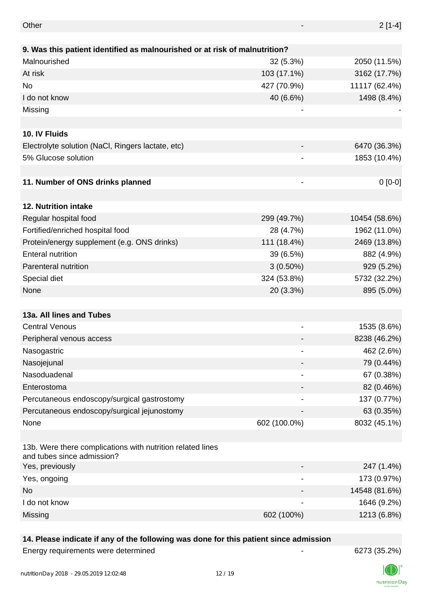| Other                                                                                    |              | $2[1-4]$      |
|------------------------------------------------------------------------------------------|--------------|---------------|
| 9. Was this patient identified as malnourished or at risk of malnutrition?               |              |               |
| Malnourished                                                                             | 32(5.3%)     | 2050 (11.5%)  |
| At risk                                                                                  | 103 (17.1%)  | 3162 (17.7%)  |
| No                                                                                       | 427 (70.9%)  | 11117 (62.4%) |
| I do not know                                                                            | 40 (6.6%)    | 1498 (8.4%)   |
| Missing                                                                                  |              |               |
|                                                                                          |              |               |
| 10. IV Fluids                                                                            |              |               |
| Electrolyte solution (NaCl, Ringers lactate, etc)                                        |              | 6470 (36.3%)  |
| 5% Glucose solution                                                                      |              | 1853 (10.4%)  |
|                                                                                          |              |               |
| 11. Number of ONS drinks planned                                                         |              | $0[0-0]$      |
|                                                                                          |              |               |
| 12. Nutrition intake                                                                     |              |               |
| Regular hospital food                                                                    | 299 (49.7%)  | 10454 (58.6%) |
| Fortified/enriched hospital food                                                         | 28 (4.7%)    | 1962 (11.0%)  |
| Protein/energy supplement (e.g. ONS drinks)                                              | 111 (18.4%)  | 2469 (13.8%)  |
| <b>Enteral nutrition</b>                                                                 | 39 (6.5%)    | 882 (4.9%)    |
| Parenteral nutrition                                                                     | $3(0.50\%)$  | 929 (5.2%)    |
| Special diet                                                                             | 324 (53.8%)  | 5732 (32.2%)  |
| None                                                                                     | 20 (3.3%)    | 895 (5.0%)    |
|                                                                                          |              |               |
| 13a. All lines and Tubes                                                                 |              |               |
| <b>Central Venous</b>                                                                    |              | 1535 (8.6%)   |
| Peripheral venous access                                                                 |              | 8238 (46.2%)  |
| Nasogastric                                                                              |              | 462 (2.6%)    |
| Nasojejunal                                                                              |              | 79 (0.44%)    |
| Nasoduadenal                                                                             |              | 67 (0.38%)    |
| Enterostoma                                                                              |              | 82 (0.46%)    |
| Percutaneous endoscopy/surgical gastrostomy                                              |              | 137 (0.77%)   |
| Percutaneous endoscopy/surgical jejunostomy                                              |              | 63 (0.35%)    |
| None                                                                                     | 602 (100.0%) | 8032 (45.1%)  |
|                                                                                          |              |               |
| 13b. Were there complications with nutrition related lines<br>and tubes since admission? |              |               |
| Yes, previously                                                                          |              | 247 (1.4%)    |
| Yes, ongoing                                                                             |              | 173 (0.97%)   |
| <b>No</b>                                                                                |              | 14548 (81.6%) |
| I do not know                                                                            |              | 1646 (9.2%)   |
| Missing                                                                                  | 602 (100%)   | 1213 (6.8%)   |

## **14. Please indicate if any of the following was done for this patient since admission**

Energy requirements were determined and the state of the state of the 6273 (35.2%)

K nutritionDay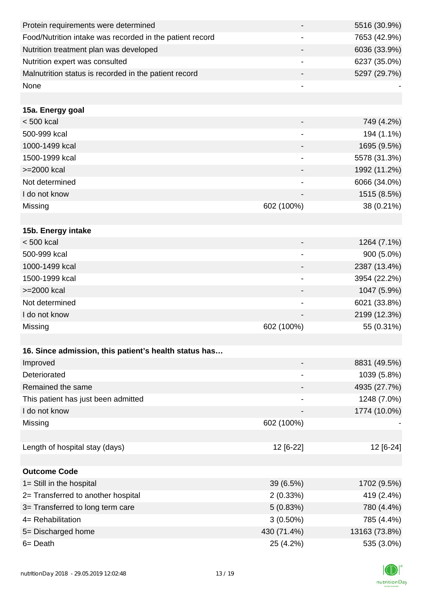| Protein requirements were determined                     |                              | 5516 (30.9%)  |
|----------------------------------------------------------|------------------------------|---------------|
| Food/Nutrition intake was recorded in the patient record |                              | 7653 (42.9%)  |
| Nutrition treatment plan was developed                   |                              | 6036 (33.9%)  |
| Nutrition expert was consulted                           |                              | 6237 (35.0%)  |
| Malnutrition status is recorded in the patient record    |                              | 5297 (29.7%)  |
| None                                                     | $\qquad \qquad \blacksquare$ |               |
|                                                          |                              |               |
| 15a. Energy goal                                         |                              |               |
| < 500 kcal                                               |                              | 749 (4.2%)    |
| 500-999 kcal                                             |                              | 194 (1.1%)    |
| 1000-1499 kcal                                           |                              | 1695 (9.5%)   |
| 1500-1999 kcal                                           | $\overline{\phantom{a}}$     | 5578 (31.3%)  |
| >=2000 kcal                                              |                              | 1992 (11.2%)  |
| Not determined                                           |                              | 6066 (34.0%)  |
| I do not know                                            |                              | 1515 (8.5%)   |
| Missing                                                  | 602 (100%)                   | 38 (0.21%)    |
|                                                          |                              |               |
| 15b. Energy intake                                       |                              |               |
| $< 500$ kcal                                             | $\overline{\phantom{a}}$     | 1264 (7.1%)   |
| 500-999 kcal                                             |                              | 900 (5.0%)    |
| 1000-1499 kcal                                           |                              | 2387 (13.4%)  |
| 1500-1999 kcal                                           |                              | 3954 (22.2%)  |
| >=2000 kcal                                              |                              | 1047 (5.9%)   |
| Not determined                                           | $\overline{\phantom{a}}$     | 6021 (33.8%)  |
| I do not know                                            |                              | 2199 (12.3%)  |
| Missing                                                  | 602 (100%)                   | 55 (0.31%)    |
|                                                          |                              |               |
| 16. Since admission, this patient's health status has    |                              |               |
| Improved                                                 |                              | 8831 (49.5%)  |
| Deteriorated                                             | $\overline{\phantom{a}}$     | 1039 (5.8%)   |
| Remained the same                                        |                              | 4935 (27.7%)  |
| This patient has just been admitted                      |                              | 1248 (7.0%)   |
| I do not know                                            |                              | 1774 (10.0%)  |
| Missing                                                  | 602 (100%)                   |               |
|                                                          |                              |               |
| Length of hospital stay (days)                           | 12 [6-22]                    | 12 [6-24]     |
|                                                          |                              |               |
| <b>Outcome Code</b>                                      |                              |               |
| 1= Still in the hospital                                 | 39 (6.5%)                    | 1702 (9.5%)   |
| 2= Transferred to another hospital                       | 2(0.33%)                     | 419 (2.4%)    |
| 3= Transferred to long term care                         | 5(0.83%)                     | 780 (4.4%)    |
| 4= Rehabilitation                                        | $3(0.50\%)$                  | 785 (4.4%)    |
| 5= Discharged home                                       | 430 (71.4%)                  | 13163 (73.8%) |
| 6= Death                                                 | 25 (4.2%)                    | 535 (3.0%)    |

![](_page_12_Picture_1.jpeg)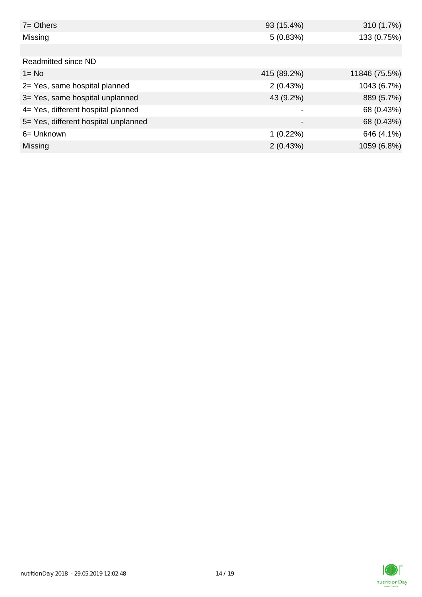| $7 = Others$                         | 93 (15.4%)               | 310 (1.7%)    |
|--------------------------------------|--------------------------|---------------|
| Missing                              | 5(0.83%)                 | 133 (0.75%)   |
|                                      |                          |               |
| Readmitted since ND                  |                          |               |
| $1 = No$                             | 415 (89.2%)              | 11846 (75.5%) |
| 2= Yes, same hospital planned        | 2(0.43%)                 | 1043 (6.7%)   |
| 3= Yes, same hospital unplanned      | 43 (9.2%)                | 889 (5.7%)    |
| 4= Yes, different hospital planned   |                          | 68 (0.43%)    |
| 5= Yes, different hospital unplanned | $\overline{\phantom{0}}$ | 68 (0.43%)    |
| 6= Unknown                           | $1(0.22\%)$              | 646 (4.1%)    |
| <b>Missing</b>                       | 2(0.43%)                 | 1059 (6.8%)   |

![](_page_13_Picture_1.jpeg)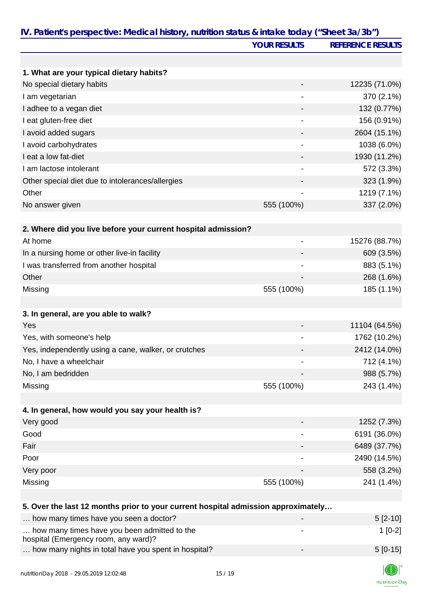|                                                                                   | <b>YOUR RESULTS</b>          | <b>REFERENCE RESULTS</b> |
|-----------------------------------------------------------------------------------|------------------------------|--------------------------|
|                                                                                   |                              |                          |
| 1. What are your typical dietary habits?                                          |                              |                          |
| No special dietary habits                                                         |                              | 12235 (71.0%)            |
| I am vegetarian                                                                   |                              | 370 (2.1%)               |
| I adhee to a vegan diet                                                           |                              | 132 (0.77%)              |
| I eat gluten-free diet                                                            | $\blacksquare$               | 156 (0.91%)              |
| I avoid added sugars                                                              |                              | 2604 (15.1%)             |
| I avoid carbohydrates                                                             |                              | 1038 (6.0%)              |
| I eat a low fat-diet                                                              |                              | 1930 (11.2%)             |
| I am lactose intolerant                                                           |                              | 572 (3.3%)               |
| Other special diet due to intolerances/allergies                                  |                              | 323 (1.9%)               |
| Other                                                                             |                              | 1219 (7.1%)              |
| No answer given                                                                   | 555 (100%)                   | 337 (2.0%)               |
|                                                                                   |                              |                          |
| 2. Where did you live before your current hospital admission?                     |                              |                          |
| At home                                                                           | $\qquad \qquad \blacksquare$ | 15276 (88.7%)            |
| In a nursing home or other live-in facility                                       |                              | 609 (3.5%)               |
| I was transferred from another hospital                                           | $\qquad \qquad \blacksquare$ | 883 (5.1%)               |
| Other                                                                             |                              | 268 (1.6%)               |
| Missing                                                                           | 555 (100%)                   | 185 (1.1%)               |
|                                                                                   |                              |                          |
| 3. In general, are you able to walk?                                              |                              |                          |
| Yes                                                                               |                              | 11104 (64.5%)            |
| Yes, with someone's help                                                          |                              | 1762 (10.2%)             |
| Yes, independently using a cane, walker, or crutches                              |                              | 2412 (14.0%)             |
| No, I have a wheelchair                                                           |                              | 712 (4.1%)               |
| No, I am bedridden                                                                |                              | 988 (5.7%)               |
| Missing                                                                           | 555 (100%)                   | 243 (1.4%)               |
|                                                                                   |                              |                          |
| 4. In general, how would you say your health is?                                  |                              |                          |
| Very good                                                                         |                              | 1252 (7.3%)              |
| Good                                                                              |                              | 6191 (36.0%)             |
| Fair                                                                              |                              | 6489 (37.7%)             |
| Poor                                                                              |                              | 2490 (14.5%)             |
| Very poor                                                                         |                              | 558 (3.2%)               |
| Missing                                                                           | 555 (100%)                   | 241 (1.4%)               |
|                                                                                   |                              |                          |
| 5. Over the last 12 months prior to your current hospital admission approximately |                              |                          |
| how many times have you seen a doctor?                                            |                              | $5[2-10]$                |
| how many times have you been admitted to the                                      |                              | $1[0-2]$                 |
| hospital (Emergency room, any ward)?                                              |                              |                          |
| how many nights in total have you spent in hospital?                              |                              | $5[0-15]$                |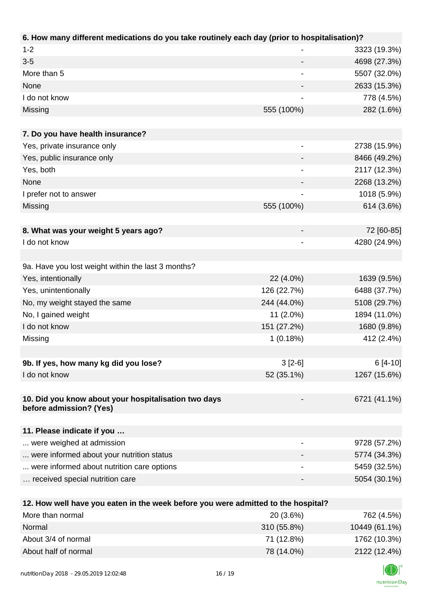| 6. How many different medications do you take routinely each day (prior to hospitalisation)? |                          |              |
|----------------------------------------------------------------------------------------------|--------------------------|--------------|
| $1 - 2$                                                                                      |                          | 3323 (19.3%) |
| $3 - 5$                                                                                      | -                        | 4698 (27.3%) |
| More than 5                                                                                  | $\overline{\phantom{a}}$ | 5507 (32.0%) |
| None                                                                                         |                          | 2633 (15.3%) |
| I do not know                                                                                |                          | 778 (4.5%)   |
| Missing                                                                                      | 555 (100%)               | 282 (1.6%)   |
|                                                                                              |                          |              |
| 7. Do you have health insurance?                                                             |                          |              |
| Yes, private insurance only                                                                  |                          | 2738 (15.9%) |
| Yes, public insurance only                                                                   |                          | 8466 (49.2%) |
| Yes, both                                                                                    |                          | 2117 (12.3%) |
| None                                                                                         |                          | 2268 (13.2%) |
| I prefer not to answer                                                                       |                          | 1018 (5.9%)  |
| Missing                                                                                      | 555 (100%)               | 614 (3.6%)   |
|                                                                                              |                          |              |
| 8. What was your weight 5 years ago?                                                         |                          | 72 [60-85]   |
| I do not know                                                                                |                          | 4280 (24.9%) |
|                                                                                              |                          |              |
| 9a. Have you lost weight within the last 3 months?                                           |                          |              |
| Yes, intentionally                                                                           | 22 (4.0%)                | 1639 (9.5%)  |
| Yes, unintentionally                                                                         | 126 (22.7%)              | 6488 (37.7%) |
| No, my weight stayed the same                                                                | 244 (44.0%)              | 5108 (29.7%) |
| No, I gained weight                                                                          | $11(2.0\%)$              | 1894 (11.0%) |
| I do not know                                                                                | 151 (27.2%)              | 1680 (9.8%)  |
| Missing                                                                                      | 1(0.18%)                 | 412 (2.4%)   |
|                                                                                              |                          |              |
| 9b. If yes, how many kg did you lose?                                                        | $3[2-6]$                 | $6[4-10]$    |
| I do not know                                                                                | 52 (35.1%)               | 1267 (15.6%) |
|                                                                                              |                          |              |
| 10. Did you know about your hospitalisation two days<br>before admission? (Yes)              |                          | 6721 (41.1%) |
| 11. Please indicate if you                                                                   |                          |              |
| were weighed at admission                                                                    |                          | 9728 (57.2%) |
| were informed about your nutrition status                                                    |                          | 5774 (34.3%) |
| were informed about nutrition care options                                                   |                          | 5459 (32.5%) |
| received special nutrition care                                                              |                          | 5054 (30.1%) |
|                                                                                              |                          |              |
| 12. How well have you eaten in the week before you were admitted to the hospital?            |                          |              |
| More than normal                                                                             | 20 (3.6%)                | 762 (4.5%)   |
| <b>Normal</b>                                                                                | $210$ (FF 00/)           | 10110(6110)  |

| <u>MULE MANTHUILII U</u> | <b>ZU 13.0701</b> | 102(4.57)     |
|--------------------------|-------------------|---------------|
| Normal                   | 310 (55.8%)       | 10449 (61.1%) |
| About 3/4 of normal      | 71 (12.8%)        | 1762 (10.3%)  |
| About half of normal     | 78 (14.0%)        | 2122 (12.4%)  |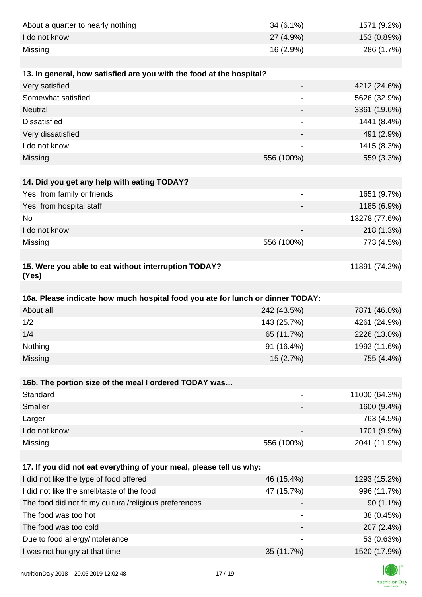| About a quarter to nearly nothing                                              | 34 (6.1%)                    | 1571 (9.2%)                |
|--------------------------------------------------------------------------------|------------------------------|----------------------------|
| I do not know                                                                  | 27 (4.9%)                    | 153 (0.89%)                |
| Missing                                                                        | 16 (2.9%)                    | 286 (1.7%)                 |
|                                                                                |                              |                            |
| 13. In general, how satisfied are you with the food at the hospital?           |                              |                            |
| Very satisfied                                                                 |                              | 4212 (24.6%)               |
| Somewhat satisfied                                                             |                              | 5626 (32.9%)               |
| Neutral                                                                        |                              | 3361 (19.6%)               |
| <b>Dissatisfied</b>                                                            | $\overline{a}$               | 1441 (8.4%)                |
| Very dissatisfied                                                              |                              | 491 (2.9%)                 |
| I do not know                                                                  |                              | 1415 (8.3%)                |
| Missing                                                                        | 556 (100%)                   | 559 (3.3%)                 |
|                                                                                |                              |                            |
| 14. Did you get any help with eating TODAY?                                    |                              |                            |
| Yes, from family or friends                                                    | $\overline{\phantom{a}}$     | 1651 (9.7%)                |
| Yes, from hospital staff                                                       |                              | 1185 (6.9%)                |
| No                                                                             | $\overline{\phantom{a}}$     | 13278 (77.6%)              |
| I do not know                                                                  |                              | 218 (1.3%)                 |
| Missing                                                                        | 556 (100%)                   | 773 (4.5%)                 |
|                                                                                |                              |                            |
| 15. Were you able to eat without interruption TODAY?<br>(Yes)                  |                              | 11891 (74.2%)              |
|                                                                                |                              |                            |
|                                                                                |                              |                            |
|                                                                                |                              |                            |
| 16a. Please indicate how much hospital food you ate for lunch or dinner TODAY: |                              |                            |
| About all                                                                      | 242 (43.5%)                  | 7871 (46.0%)               |
| 1/2                                                                            | 143 (25.7%)                  | 4261 (24.9%)               |
| 1/4                                                                            | 65 (11.7%)                   | 2226 (13.0%)               |
| Nothing                                                                        | 91 (16.4%)                   | 1992 (11.6%)               |
| Missing                                                                        | 15 (2.7%)                    | 755 (4.4%)                 |
|                                                                                |                              |                            |
| 16b. The portion size of the meal I ordered TODAY was                          |                              |                            |
| Standard                                                                       | $\qquad \qquad \blacksquare$ | 11000 (64.3%)              |
| Smaller                                                                        |                              | 1600 (9.4%)                |
| Larger                                                                         | $\overline{\phantom{a}}$     | 763 (4.5%)                 |
| I do not know                                                                  |                              | 1701 (9.9%)                |
| Missing                                                                        | 556 (100%)                   | 2041 (11.9%)               |
|                                                                                |                              |                            |
| 17. If you did not eat everything of your meal, please tell us why:            |                              |                            |
| I did not like the type of food offered                                        | 46 (15.4%)                   | 1293 (15.2%)               |
| I did not like the smell/taste of the food                                     | 47 (15.7%)                   | 996 (11.7%)                |
| The food did not fit my cultural/religious preferences                         |                              | $90(1.1\%)$                |
| The food was too hot                                                           |                              | 38 (0.45%)                 |
| The food was too cold                                                          |                              | 207 (2.4%)                 |
| Due to food allergy/intolerance<br>I was not hungry at that time               | 35 (11.7%)                   | 53 (0.63%)<br>1520 (17.9%) |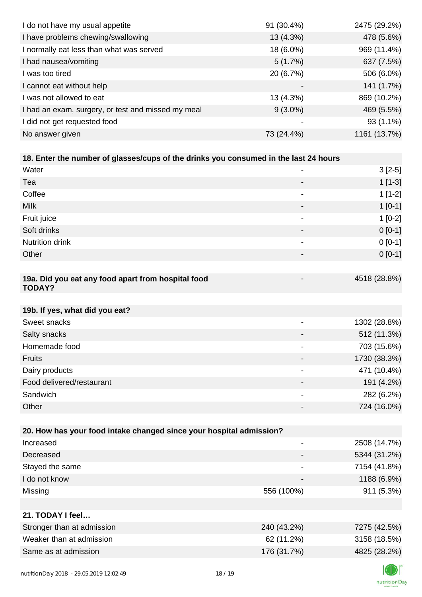| I do not have my usual appetite                                                      | 91 (30.4%)               | 2475 (29.2%)         |
|--------------------------------------------------------------------------------------|--------------------------|----------------------|
| I have problems chewing/swallowing                                                   | 13 (4.3%)                | 478 (5.6%)           |
| I normally eat less than what was served                                             | 18 (6.0%)                | 969 (11.4%)          |
| I had nausea/vomiting                                                                | 5(1.7%)                  | 637 (7.5%)           |
| I was too tired                                                                      | 20 (6.7%)                | 506 (6.0%)           |
| I cannot eat without help                                                            |                          | 141 (1.7%)           |
| I was not allowed to eat                                                             | 13 (4.3%)                | 869 (10.2%)          |
| I had an exam, surgery, or test and missed my meal                                   | $9(3.0\%)$               | 469 (5.5%)           |
| I did not get requested food                                                         | $\overline{\phantom{a}}$ | 93 (1.1%)            |
| No answer given                                                                      | 73 (24.4%)               | 1161 (13.7%)         |
|                                                                                      |                          |                      |
| 18. Enter the number of glasses/cups of the drinks you consumed in the last 24 hours |                          |                      |
| Water                                                                                |                          | $3[2-5]$             |
| Tea                                                                                  |                          | $1[1-3]$             |
| Coffee                                                                               | -                        | $1[1-2]$             |
| <b>Milk</b>                                                                          |                          | $1[0-1]$             |
| Fruit juice                                                                          |                          | $1[0-2]$             |
| ~ <i>.</i>                                                                           |                          | $\sim$ $\sim$ $\sim$ |

| Soft drinks                                        | - | $0 [0-1]$    |
|----------------------------------------------------|---|--------------|
| <b>Nutrition drink</b>                             | - | $0 [0-1]$    |
| Other                                              | - | $0[0-1]$     |
|                                                    |   |              |
| 19a. Did you eat any food apart from hospital food | - | 4518 (28.8%) |

#### **19a. Did you eat any food apart from hospital food TODAY?**

| 19b. If yes, what did you eat? |                          |              |
|--------------------------------|--------------------------|--------------|
| Sweet snacks                   | $\overline{\phantom{0}}$ | 1302 (28.8%) |
| Salty snacks                   |                          | 512 (11.3%)  |
| Homemade food                  |                          | 703 (15.6%)  |
| <b>Fruits</b>                  |                          | 1730 (38.3%) |
| Dairy products                 |                          | 471 (10.4%)  |
| Food delivered/restaurant      | $\overline{\phantom{0}}$ | 191 (4.2%)   |
| Sandwich                       |                          | 282 (6.2%)   |
| Other                          |                          | 724 (16.0%)  |

| 20. How has your food intake changed since your hospital admission? |                                                  |                  |
|---------------------------------------------------------------------|--------------------------------------------------|------------------|
| Increased                                                           |                                                  | 2508 (14.7%)     |
| Decreased                                                           |                                                  | 5344 (31.2%)     |
| Stayed the same                                                     |                                                  | 7154 (41.8%)     |
| I do not know                                                       |                                                  | 1188 (6.9%)      |
| Missing                                                             | 556 (100%)                                       | 911 (5.3%)       |
|                                                                     |                                                  |                  |
| 21. TODAY I feel                                                    |                                                  |                  |
| Stronger than at admission                                          | 240 (43.2%)                                      | 7275 (42.5%)     |
| $\cdots$                                                            | $\sim$ $\sim$ $\sim$ $\sim$ $\sim$ $\sim$ $\sim$ | $-1 - -11 - -11$ |

| Weaker than at admission | 62 (11.2%) | 3158 (18.5%) |
|--------------------------|------------|--------------|
| Same as at admission     | 176(31.7%) | 4825 (28.2%) |
|                          |            |              |